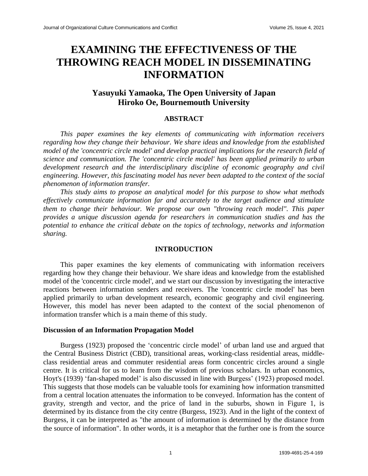# **EXAMINING THE EFFECTIVENESS OF THE THROWING REACH MODEL IN DISSEMINATING INFORMATION**

## **Yasuyuki Yamaoka, The Open University of Japan Hiroko Oe, Bournemouth University**

### **ABSTRACT**

*This paper examines the key elements of communicating with information receivers regarding how they change their behaviour. We share ideas and knowledge from the established model of the 'concentric circle model' and develop practical implications for the research field of science and communication. The 'concentric circle model' has been applied primarily to urban development research and the interdisciplinary discipline of economic geography and civil engineering. However, this fascinating model has never been adapted to the context of the social phenomenon of information transfer.*

*This study aims to propose an analytical model for this purpose to show what methods effectively communicate information far and accurately to the target audience and stimulate them to change their behaviour. We propose our own "throwing reach model". This paper provides a unique discussion agenda for researchers in communication studies and has the potential to enhance the critical debate on the topics of technology, networks and information sharing.*

#### **INTRODUCTION**

This paper examines the key elements of communicating with information receivers regarding how they change their behaviour. We share ideas and knowledge from the established model of the 'concentric circle model', and we start our discussion by investigating the interactive reactions between information senders and receivers. The 'concentric circle model' has been applied primarily to urban development research, economic geography and civil engineering. However, this model has never been adapted to the context of the social phenomenon of information transfer which is a main theme of this study.

#### **Discussion of an Information Propagation Model**

Burgess (1923) proposed the 'concentric circle model' of urban land use and argued that the Central Business District (CBD), transitional areas, working-class residential areas, middleclass residential areas and commuter residential areas form concentric circles around a single centre. It is critical for us to learn from the wisdom of previous scholars. In urban economics, Hoyt's (1939) 'fan-shaped model' is also discussed in line with Burgess' (1923) proposed model. This suggests that those models can be valuable tools for examining how information transmitted from a central location attenuates the information to be conveyed. Information has the content of gravity, strength and vector, and the price of land in the suburbs, shown in Figure 1, is determined by its distance from the city centre (Burgess, 1923). And in the light of the context of Burgess, it can be interpreted as "the amount of information is determined by the distance from the source of information". In other words, it is a metaphor that the further one is from the source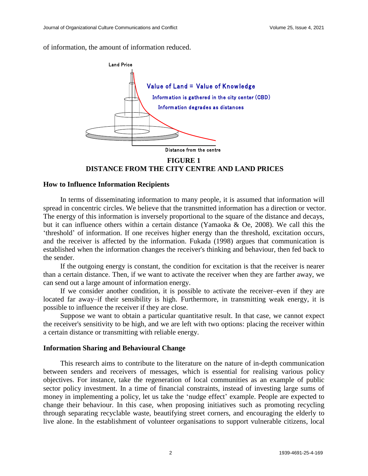of information, the amount of information reduced.



**FIGURE 1 DISTANCE FROM THE CITY CENTRE AND LAND PRICES**

#### **How to Influence Information Recipients**

In terms of disseminating information to many people, it is assumed that information will spread in concentric circles. We believe that the transmitted information has a direction or vector. The energy of this information is inversely proportional to the square of the distance and decays, but it can influence others within a certain distance (Yamaoka & Oe, 2008). We call this the 'threshold' of information. If one receives higher energy than the threshold, excitation occurs, and the receiver is affected by the information. Fukada (1998) argues that communication is established when the information changes the receiver's thinking and behaviour, then fed back to the sender.

If the outgoing energy is constant, the condition for excitation is that the receiver is nearer than a certain distance. Then, if we want to activate the receiver when they are farther away, we can send out a large amount of information energy.

If we consider another condition, it is possible to activate the receiver–even if they are located far away–if their sensibility is high. Furthermore, in transmitting weak energy, it is possible to influence the receiver if they are close.

Suppose we want to obtain a particular quantitative result. In that case, we cannot expect the receiver's sensitivity to be high, and we are left with two options: placing the receiver within a certain distance or transmitting with reliable energy.

#### **Information Sharing and Behavioural Change**

This research aims to contribute to the literature on the nature of in-depth communication between senders and receivers of messages, which is essential for realising various policy objectives. For instance, take the regeneration of local communities as an example of public sector policy investment. In a time of financial constraints, instead of investing large sums of money in implementing a policy, let us take the 'nudge effect' example. People are expected to change their behaviour. In this case, when proposing initiatives such as promoting recycling through separating recyclable waste, beautifying street corners, and encouraging the elderly to live alone. In the establishment of volunteer organisations to support vulnerable citizens, local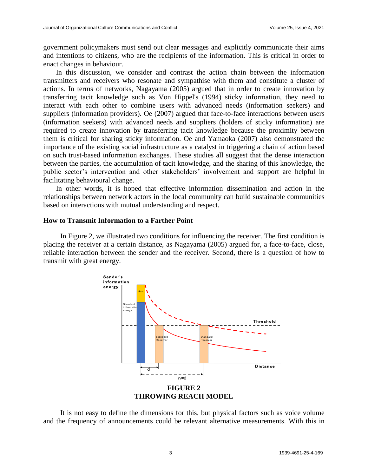government policymakers must send out clear messages and explicitly communicate their aims and intentions to citizens, who are the recipients of the information. This is critical in order to enact changes in behaviour.

In this discussion, we consider and contrast the action chain between the information transmitters and receivers who resonate and sympathise with them and constitute a cluster of actions. In terms of networks, Nagayama (2005) argued that in order to create innovation by transferring tacit knowledge such as Von Hippel's (1994) sticky information, they need to interact with each other to combine users with advanced needs (information seekers) and suppliers (information providers). Oe (2007) argued that face-to-face interactions between users (information seekers) with advanced needs and suppliers (holders of sticky information) are required to create innovation by transferring tacit knowledge because the proximity between them is critical for sharing sticky information. Oe and Yamaoka (2007) also demonstrated the importance of the existing social infrastructure as a catalyst in triggering a chain of action based on such trust-based information exchanges. These studies all suggest that the dense interaction between the parties, the accumulation of tacit knowledge, and the sharing of this knowledge, the public sector's intervention and other stakeholders' involvement and support are helpful in facilitating behavioural change.

In other words, it is hoped that effective information dissemination and action in the relationships between network actors in the local community can build sustainable communities based on interactions with mutual understanding and respect.

#### **How to Transmit Information to a Farther Point**

In Figure 2, we illustrated two conditions for influencing the receiver. The first condition is placing the receiver at a certain distance, as Nagayama (2005) argued for, a face-to-face, close, reliable interaction between the sender and the receiver. Second, there is a question of how to transmit with great energy.



It is not easy to define the dimensions for this, but physical factors such as voice volume and the frequency of announcements could be relevant alternative measurements. With this in